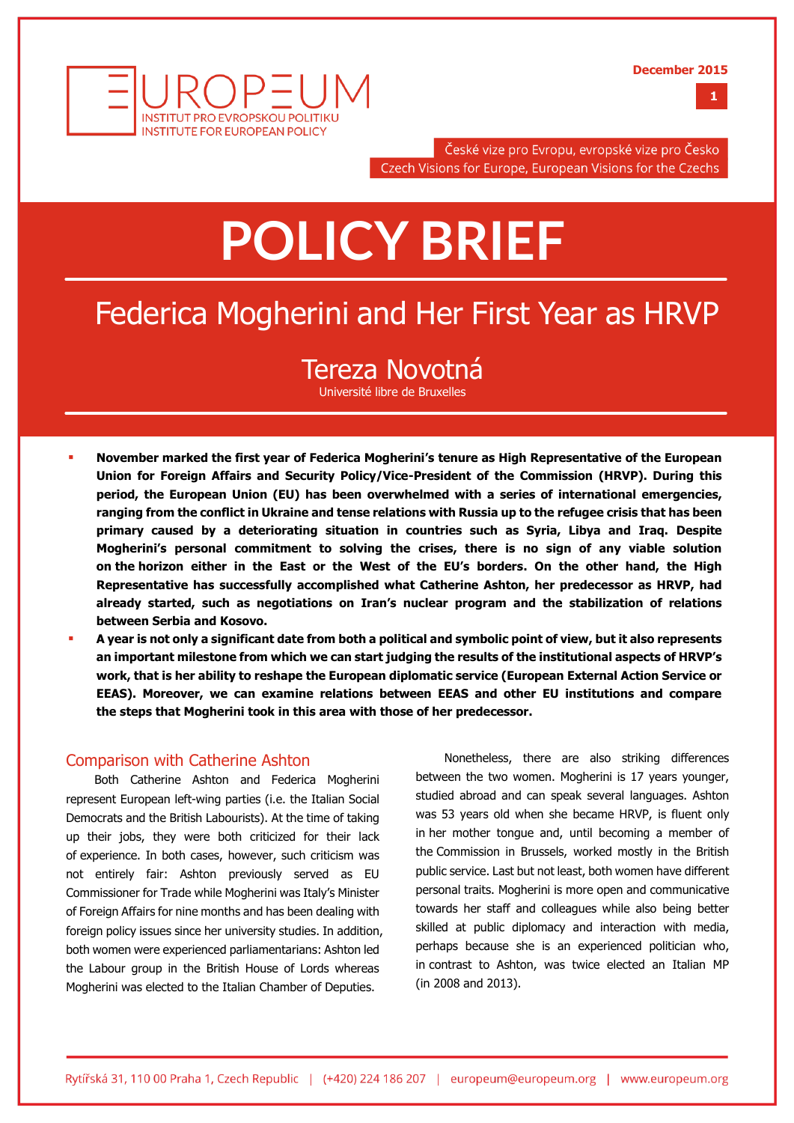**December 2015**



České vize pro Evropu, evropské vize pro Česko Czech Visions for Europe, European Visions for the Czechs

# **POLICY BRIEF**

## Federica Mogherini and Her First Year as HRVP

### Tereza Novotná

Université libre de Bruxelles

- **November marked the first year of Federica Mogherini's tenure as High Representative of the European Union for Foreign Affairs and Security Policy/Vice-President of the Commission (HRVP). During this period, the European Union (EU) has been overwhelmed with a series of international emergencies, ranging from the conflict in Ukraine and tense relations with Russia up to the refugee crisis that has been primary caused by a deteriorating situation in countries such as Syria, Libya and Iraq. Despite Mogherini's personal commitment to solving the crises, there is no sign of any viable solution on the horizon either in the East or the West of the EU's borders. On the other hand, the High Representative has successfully accomplished what Catherine Ashton, her predecessor as HRVP, had already started, such as negotiations on Iran's nuclear program and the stabilization of relations between Serbia and Kosovo.**
- **A year is not only a significant date from both a political and symbolic point of view, but it also represents an important milestone from which we can start judging the results of the institutional aspects of HRVP's work, that is her ability to reshape the European diplomatic service (European External Action Service or EEAS). Moreover, we can examine relations between EEAS and other EU institutions and compare the steps that Mogherini took in this area with those of her predecessor.**

#### Comparison with Catherine Ashton

Both Catherine Ashton and Federica Mogherini represent European left-wing parties (i.e. the Italian Social Democrats and the British Labourists). At the time of taking up their jobs, they were both criticized for their lack of experience. In both cases, however, such criticism was not entirely fair: Ashton previously served as EU Commissioner for Trade while Mogherini was Italy's Minister of Foreign Affairs for nine months and has been dealing with foreign policy issues since her university studies. In addition, both women were experienced parliamentarians: Ashton led the Labour group in the British House of Lords whereas Mogherini was elected to the Italian Chamber of Deputies.

Nonetheless, there are also striking differences between the two women. Mogherini is 17 years younger, studied abroad and can speak several languages. Ashton was 53 years old when she became HRVP, is fluent only in her mother tongue and, until becoming a member of the Commission in Brussels, worked mostly in the British public service. Last but not least, both women have different personal traits. Mogherini is more open and communicative towards her staff and colleagues while also being better skilled at public diplomacy and interaction with media, perhaps because she is an experienced politician who, in contrast to Ashton, was twice elected an Italian MP (in 2008 and 2013).

**1**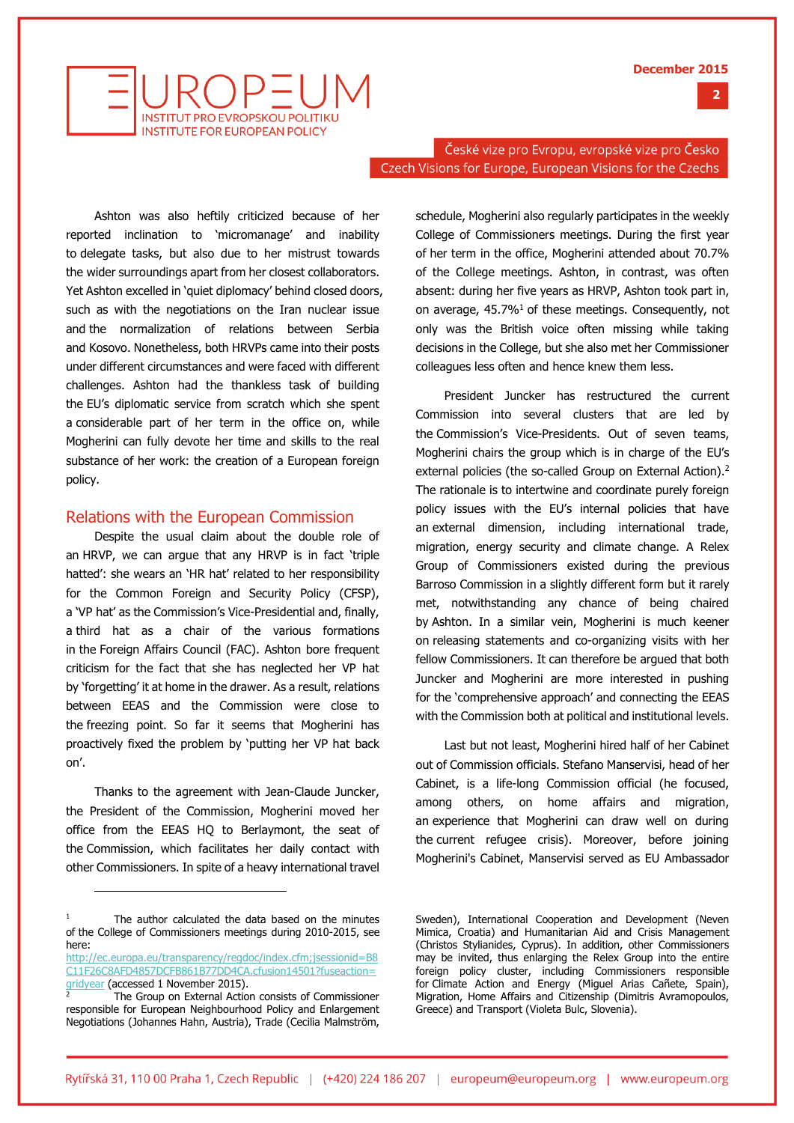



České vize pro Evropu, evropské vize pro Česko Czech Visions for Europe, European Visions for the Czechs

Ashton was also heftily criticized because of her reported inclination to 'micromanage' and inability to delegate tasks, but also due to her mistrust towards the wider surroundings apart from her closest collaborators. Yet Ashton excelled in 'quiet diplomacy' behind closed doors, such as with the negotiations on the Iran nuclear issue and the normalization of relations between Serbia and Kosovo. Nonetheless, both HRVPs came into their posts under different circumstances and were faced with different challenges. Ashton had the thankless task of building the EU's diplomatic service from scratch which she spent a considerable part of her term in the office on, while Mogherini can fully devote her time and skills to the real substance of her work: the creation of a European foreign policy.

#### Relations with the European Commission

Despite the usual claim about the double role of an HRVP, we can argue that any HRVP is in fact 'triple hatted': she wears an 'HR hat' related to her responsibility for the Common Foreign and Security Policy (CFSP), a 'VP hat' as the Commission's Vice-Presidential and, finally, a third hat as a chair of the various formations in the Foreign Affairs Council (FAC). Ashton bore frequent criticism for the fact that she has neglected her VP hat by 'forgetting' it at home in the drawer. As a result, relations between EEAS and the Commission were close to the freezing point. So far it seems that Mogherini has proactively fixed the problem by 'putting her VP hat back on'.

Thanks to the agreement with Jean-Claude Juncker, the President of the Commission, Mogherini moved her office from the EEAS HQ to Berlaymont, the seat of the Commission, which facilitates her daily contact with other Commissioners. In spite of a heavy international travel

j

schedule, Mogherini also regularly participates in the weekly College of Commissioners meetings. During the first year of her term in the office, Mogherini attended about 70.7% of the College meetings. Ashton, in contrast, was often absent: during her five years as HRVP, Ashton took part in, on average,  $45.7\%$ <sup>1</sup> of these meetings. Consequently, not only was the British voice often missing while taking decisions in the College, but she also met her Commissioner colleagues less often and hence knew them less.

President Juncker has restructured the current Commission into several clusters that are led by the Commission's Vice-Presidents. Out of seven teams, Mogherini chairs the group which is in charge of the EU's external policies (the so-called Group on External Action).<sup>2</sup> The rationale is to intertwine and coordinate purely foreign policy issues with the EU's internal policies that have an external dimension, including international trade, migration, energy security and climate change. A Relex Group of Commissioners existed during the previous Barroso Commission in a slightly different form but it rarely met, notwithstanding any chance of being chaired by Ashton. In a similar vein, Mogherini is much keener on releasing statements and co-organizing visits with her fellow Commissioners. It can therefore be argued that both Juncker and Mogherini are more interested in pushing for the 'comprehensive approach' and connecting the EEAS with the Commission both at political and institutional levels.

Last but not least, Mogherini hired half of her Cabinet out of Commission officials. Stefano Manservisi, head of her Cabinet, is a life-long Commission official (he focused, among others, on home affairs and migration, an experience that Mogherini can draw well on during the current refugee crisis). Moreover, before joining Mogherini's Cabinet, Manservisi served as EU Ambassador

<sup>&</sup>lt;sup>1</sup> The author calculated the data based on the minutes of the College of Commissioners meetings during 2010-2015, see here:

[http://ec.europa.eu/transparency/regdoc/index.cfm;jsessionid=B8](http://ec.europa.eu/transparency/regdoc/index.cfm;jsessionid=B8C11F26C8AFD4857DCFB861B77DD4CA.cfusion14501?fuseaction=gridyear) [C11F26C8AFD4857DCFB861B77DD4CA.cfusion14501?fuseaction=](http://ec.europa.eu/transparency/regdoc/index.cfm;jsessionid=B8C11F26C8AFD4857DCFB861B77DD4CA.cfusion14501?fuseaction=gridyear) [gridyear](http://ec.europa.eu/transparency/regdoc/index.cfm;jsessionid=B8C11F26C8AFD4857DCFB861B77DD4CA.cfusion14501?fuseaction=gridyear) (accessed 1 November 2015).

The Group on External Action consists of Commissioner responsible for European Neighbourhood Policy and Enlargement Negotiations (Johannes Hahn, Austria), Trade (Cecilia Malmström,

Sweden), International Cooperation and Development (Neven Mimica, Croatia) and Humanitarian Aid and Crisis Management (Christos Stylianides, Cyprus). In addition, other Commissioners may be invited, thus enlarging the Relex Group into the entire foreign policy cluster, including Commissioners responsible for Climate Action and Energy (Miguel Arias Cañete, Spain), Migration, Home Affairs and Citizenship (Dimitris Avramopoulos, Greece) and Transport (Violeta Bulc, Slovenia).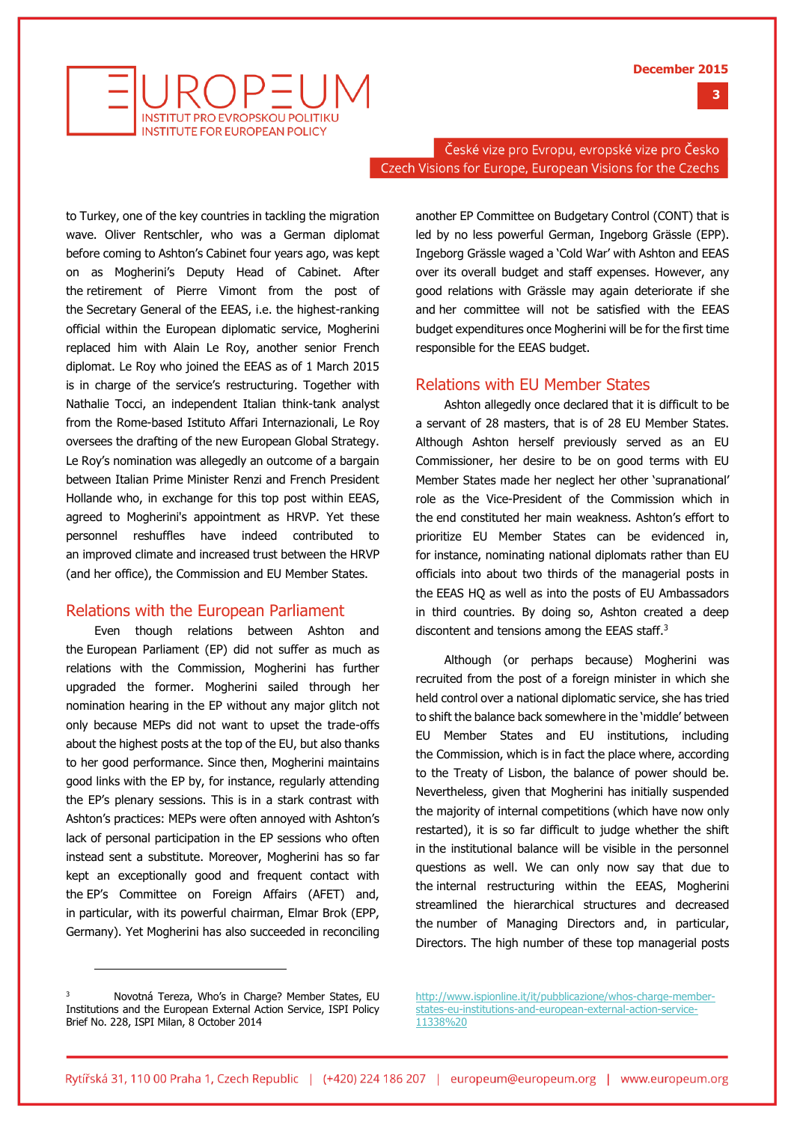



České vize pro Evropu, evropské vize pro Česko Czech Visions for Europe, European Visions for the Czechs

to Turkey, one of the key countries in tackling the migration wave. Oliver Rentschler, who was a German diplomat before coming to Ashton's Cabinet four years ago, was kept on as Mogherini's Deputy Head of Cabinet. After the retirement of Pierre Vimont from the post of the Secretary General of the EEAS, i.e. the highest-ranking official within the European diplomatic service, Mogherini replaced him with Alain Le Roy, another senior French diplomat. Le Roy who joined the EEAS as of 1 March 2015 is in charge of the service's restructuring. Together with Nathalie Tocci, an independent Italian think-tank analyst from the Rome-based Istituto Affari Internazionali, Le Roy oversees the drafting of the new European Global Strategy. Le Roy's nomination was allegedly an outcome of a bargain between Italian Prime Minister Renzi and French President Hollande who, in exchange for this top post within EEAS, agreed to Mogherini's appointment as HRVP. Yet these personnel reshuffles have indeed contributed to an improved climate and increased trust between the HRVP (and her office), the Commission and EU Member States.

#### Relations with the European Parliament

Even though relations between Ashton and the European Parliament (EP) did not suffer as much as relations with the Commission, Mogherini has further upgraded the former. Mogherini sailed through her nomination hearing in the EP without any major glitch not only because MEPs did not want to upset the trade-offs about the highest posts at the top of the EU, but also thanks to her good performance. Since then, Mogherini maintains good links with the EP by, for instance, regularly attending the EP's plenary sessions. This is in a stark contrast with Ashton's practices: MEPs were often annoyed with Ashton's lack of personal participation in the EP sessions who often instead sent a substitute. Moreover, Mogherini has so far kept an exceptionally good and frequent contact with the EP's Committee on Foreign Affairs (AFET) and, in particular, with its powerful chairman, Elmar Brok (EPP, Germany). Yet Mogherini has also succeeded in reconciling

another EP Committee on Budgetary Control (CONT) that is led by no less powerful German, Ingeborg Grässle (EPP). Ingeborg Grässle waged a 'Cold War' with Ashton and EEAS over its overall budget and staff expenses. However, any good relations with Grässle may again deteriorate if she and her committee will not be satisfied with the EEAS budget expenditures once Mogherini will be for the first time responsible for the EEAS budget.

#### Relations with EU Member States

Ashton allegedly once declared that it is difficult to be a servant of 28 masters, that is of 28 EU Member States. Although Ashton herself previously served as an EU Commissioner, her desire to be on good terms with EU Member States made her neglect her other 'supranational' role as the Vice-President of the Commission which in the end constituted her main weakness. Ashton's effort to prioritize EU Member States can be evidenced in, for instance, nominating national diplomats rather than EU officials into about two thirds of the managerial posts in the EEAS HQ as well as into the posts of EU Ambassadors in third countries. By doing so, Ashton created a deep discontent and tensions among the EEAS staff.<sup>3</sup>

Although (or perhaps because) Mogherini was recruited from the post of a foreign minister in which she held control over a national diplomatic service, she has tried to shift the balance back somewhere in the 'middle' between EU Member States and EU institutions, including the Commission, which is in fact the place where, according to the Treaty of Lisbon, the balance of power should be. Nevertheless, given that Mogherini has initially suspended the majority of internal competitions (which have now only restarted), it is so far difficult to judge whether the shift in the institutional balance will be visible in the personnel questions as well. We can only now say that due to the internal restructuring within the EEAS, Mogherini streamlined the hierarchical structures and decreased the number of Managing Directors and, in particular, Directors. The high number of these top managerial posts

j

[http://www.ispionline.it/it/pubblicazione/whos-charge-member](http://www.ispionline.it/it/pubblicazione/whos-charge-member-states-eu-institutions-and-european-external-action-service-11338)[states-eu-institutions-and-european-external-action-service-](http://www.ispionline.it/it/pubblicazione/whos-charge-member-states-eu-institutions-and-european-external-action-service-11338)[11338%20](http://www.ispionline.it/it/pubblicazione/whos-charge-member-states-eu-institutions-and-european-external-action-service-11338)

Novotná Tereza, Who's in Charge? Member States, EU Institutions and the European External Action Service, ISPI Policy Brief No. 228, ISPI Milan, 8 October 2014